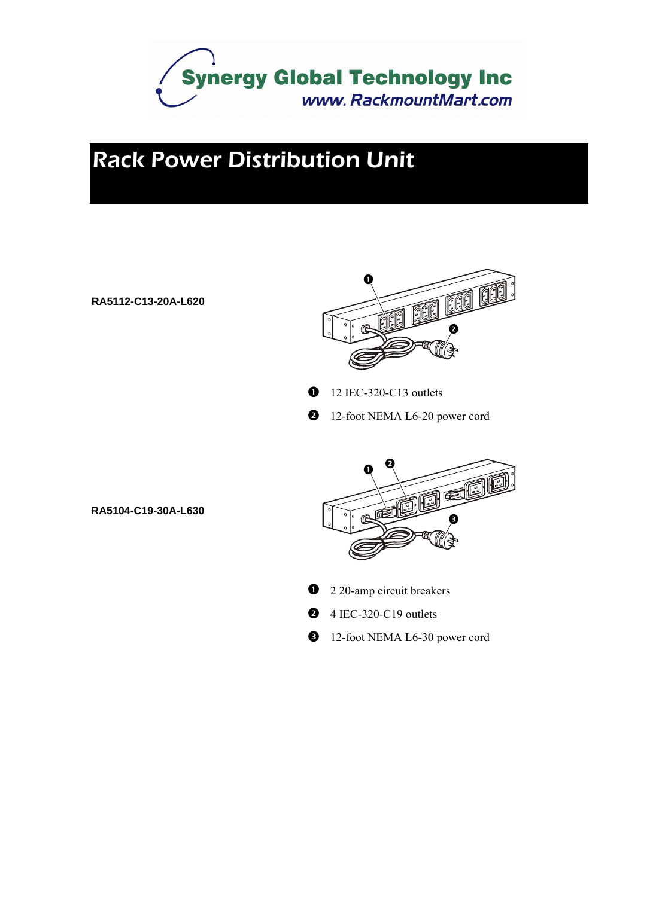

## *Rack Power Distribution Unit*

#### **RA5112-C13-20A-L620**



- $\bullet$  12 IEC-320-C13 outlets
- **2** 12-foot NEMA L6-20 power cord



- <sup>2</sup> 20-amp circuit breakers
- $\bullet$  4 IEC-320-C19 outlets
- <sup>12</sup>-foot NEMA L6-30 power cord

**RA5104-C19-30A-L630**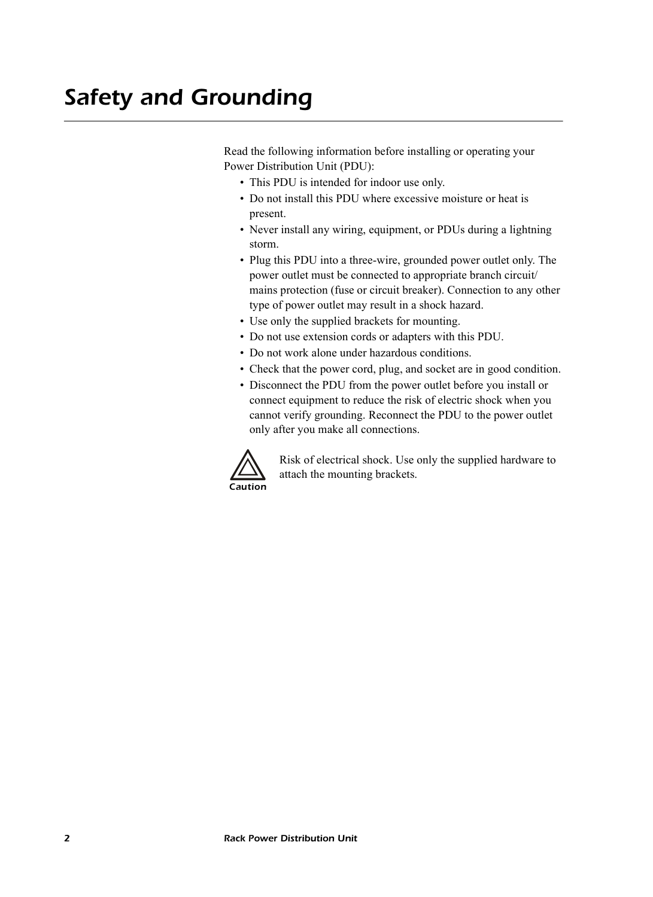Read the following information before installing or operating your Power Distribution Unit (PDU):

- This PDU is intended for indoor use only.
- Do not install this PDU where excessive moisture or heat is present.
- Never install any wiring, equipment, or PDUs during a lightning storm.
- Plug this PDU into a three-wire, grounded power outlet only. The power outlet must be connected to appropriate branch circuit/ mains protection (fuse or circuit breaker). Connection to any other type of power outlet may result in a shock hazard.
- Use only the supplied brackets for mounting.
- Do not use extension cords or adapters with this PDU.
- Do not work alone under hazardous conditions.
- Check that the power cord, plug, and socket are in good condition.
- Disconnect the PDU from the power outlet before you install or connect equipment to reduce the risk of electric shock when you cannot verify grounding. Reconnect the PDU to the power outlet only after you make all connections.



Risk of electrical shock. Use only the supplied hardware to attach the mounting brackets.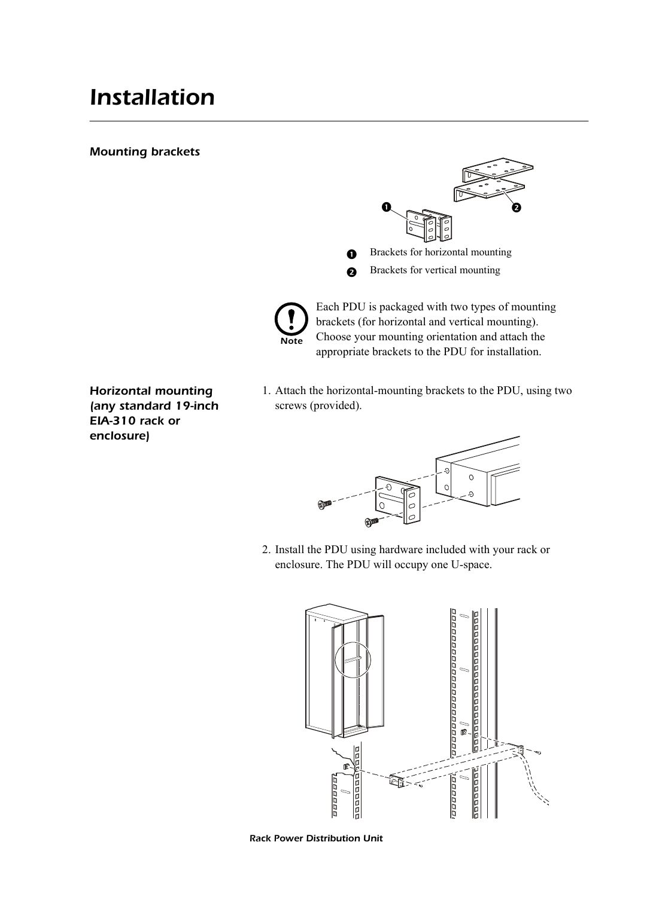### *Installation*

#### *Mounting brackets*





Each PDU is packaged with two types of mounting brackets (for horizontal and vertical mounting). Choose your mounting orientation and attach the appropriate brackets to the PDU for installation.

- *Horizontal mounting (any standard 19-inch EIA-310 rack or enclosure)*
- 1. Attach the horizontal-mounting brackets to the PDU, using two screws (provided).



2. Install the PDU using hardware included with your rack or enclosure. The PDU will occupy one U-space.



*Rack Power Distribution Unit*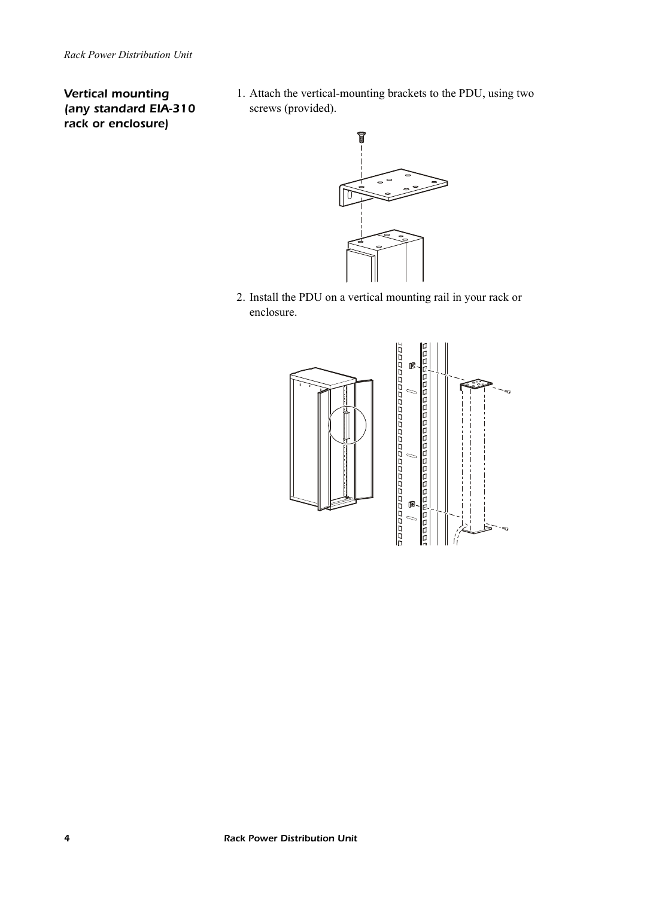#### *Vertical mounting (any standard EIA-310 rack or enclosure)*

1. Attach the vertical-mounting brackets to the PDU, using two screws (provided).



2. Install the PDU on a vertical mounting rail in your rack or enclosure.